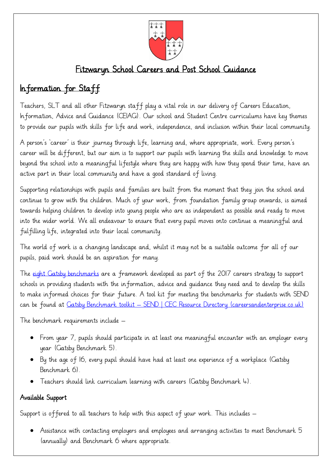

## Fitzwaryn School Careers and Post School Guidance

# Information for Staff

Teachers, SLT and all other Fitzwaryn staff play a vital role in our delivery of Careers Education, Information, Advice and Guidance (CEIAG). Our school and Student Centre curriculums have key themes to provide our pupils with skills for life and work, independence, and inclusion within their local community.

A person's 'career' is their journey through life, learning and, where appropriate, work. Every person's career will be different, but our aim is to support our pupils with learning the skills and knowledge to move beyond the school into a meaningful lifestyle where they are happy with how they spend their time, have an active part in their local community and have a good standard of living.

Supporting relationships with pupils and families are built from the moment that they join the school and continue to grow with the children. Much of your work, from foundation family group onwards, is aimed towards helping children to develop into young people who are as independent as possible and ready to move into the wider world. We all endeavour to ensure that every pupil moves onto continue a meaningful and fulfilling life, integrated into their local community.

The world of work is a changing landscape and, whilst it may not be a suitable outcome for all of our pupils, paid work should be an aspiration for many.

The [eight Gatsby benchmarks](https://www.goodcareerguidance.org.uk/benchmarks-and-background) are a framework developed as part of the 2017 careers strategy to support schools in providing students with the information, advice and guidance they need and to develop the skills to make informed choices for their future. A tool kit for meeting the benchmarks for students with SEND can be found at Gatsby Benchmark toolkit – [SEND | CEC Resource Directory \(careersandenterprise.co.uk\)](https://resources.careersandenterprise.co.uk/resources/gatsby-benchmark-toolkit-send)

The benchmark requirements include –

- From year 7, pupils should participate in at least one meaningful encounter with an employer every year (Gatsby Benchmark 5).
- By the age of 16, every pupil should have had at least one experience of a workplace (Gatsby Benchmark 6).
- Teachers should link curriculum learning with careers (Gatsby Benchmark 4).

### Available Support

Support is offered to all teachers to help with this aspect of your work. This includes –

• Assistance with contacting employers and employees and arranging activities to meet Benchmark 5 (annually) and Benchmark 6 where appropriate.